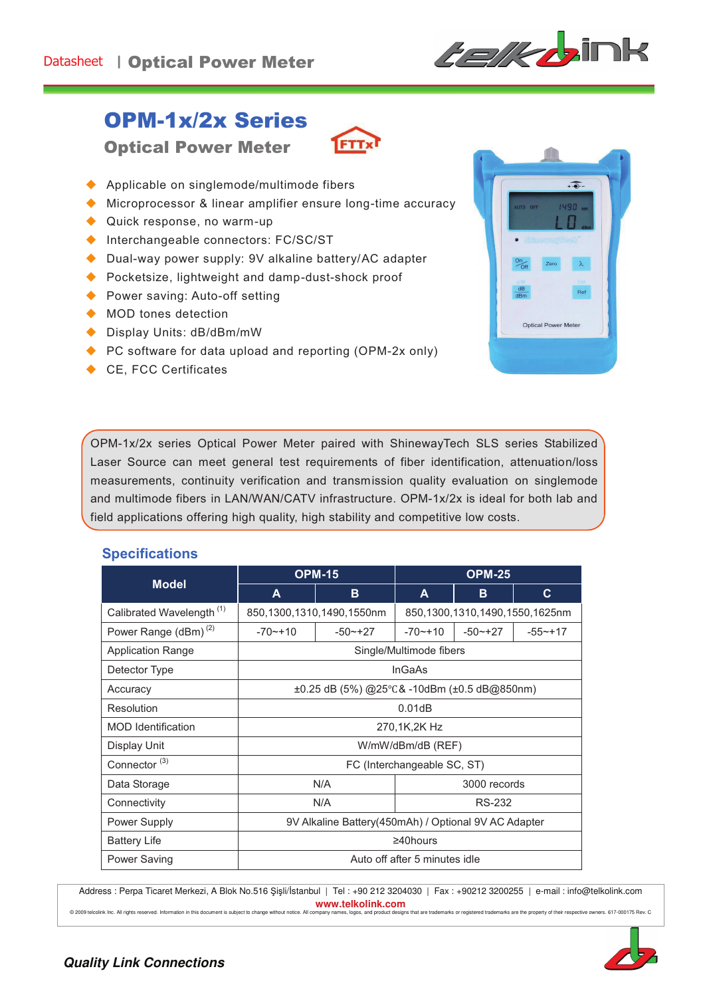

## OPM-1x/2x Series

Optical Power Meter



- $\blacklozenge$  Applicable on singlemode/multimode fibers
- $\blacklozenge$  Microprocessor & linear amplifier ensure long-time accuracy
- $\blacklozenge$  Quick response, no warm-up
- $\blacklozenge$  Interchangeable connectors: FC/SC/ST
- Dual-way power supply: 9V alkaline battery/AC adapter
- $\blacklozenge$  Pocketsize, lightweight and damp-dust-shock proof
- Power saving: Auto-off setting
- $\blacklozenge$  MOD tones detection
- ◆ Display Units: dB/dBm/mW
- $\blacklozenge$  PC software for data upload and reporting (OPM-2x only)
- $\leftarrow$  CE, FCC Certificates



OPM-1x/2x series Optical Power Meter paired with ShinewayTech SLS series Stabilized Laser Source can meet general test requirements of fiber identification, attenuation/loss measurements, continuity verification and transmission quality evaluation on singlemode and multimode fibers in LAN/WAN/CATV infrastructure. OPM-1x/2x is ideal for both lab and field applications offering high quality, high stability and competitive low costs.

## **Specifications**

|                                      | <b>OPM-15</b>                                          |              | <b>OPM-25</b>                  |              |             |
|--------------------------------------|--------------------------------------------------------|--------------|--------------------------------|--------------|-------------|
| <b>Model</b>                         | A                                                      | B            | A                              | B            | C.          |
| Calibrated Wavelength <sup>(1)</sup> | 850,1300,1310,1490,1550nm                              |              | 850,1300,1310,1490,1550,1625nm |              |             |
| Power Range (dBm) <sup>(2)</sup>     | $-70$ $-+10$                                           | $-50$ $-+27$ | $-70$ $-+10$                   | $-50$ $-+27$ | $-55 - +17$ |
| <b>Application Range</b>             | Single/Multimode fibers                                |              |                                |              |             |
| Detector Type                        | <b>InGaAs</b>                                          |              |                                |              |             |
| Accuracy                             | $\pm 0.25$ dB (5%) @25°C& -10dBm ( $\pm 0.5$ dB@850nm) |              |                                |              |             |
| Resolution                           | 0.01dB                                                 |              |                                |              |             |
| <b>MOD</b> Identification            | 270,1K,2K Hz                                           |              |                                |              |             |
| Display Unit                         | W/mW/dBm/dB (REF)                                      |              |                                |              |             |
| Connector <sup>(3)</sup>             | FC (Interchangeable SC, ST)                            |              |                                |              |             |
| Data Storage                         | N/A<br>3000 records                                    |              |                                |              |             |
| Connectivity                         |                                                        | N/A          | RS-232                         |              |             |
| Power Supply                         | 9V Alkaline Battery(450mAh) / Optional 9V AC Adapter   |              |                                |              |             |
| <b>Battery Life</b>                  | $\geq 40$ hours                                        |              |                                |              |             |
| Power Saving                         | Auto off after 5 minutes idle                          |              |                                |              |             |

Address : Perpa Ticaret Merkezi, A Blok No.516 Şişli/İstanbul | Tel : +90 212 3204030 | Fax : +90212 3200255 | e-mail : info@telkolink.com **www.telkolink.com**<br>ompany names, logos, and product designs that are trademarks or registered trademarks are the property of their respective owners. 617-000175 Rev. C

company names, logos, and processes of the second this document is subject to change without notice. All company names, logos, and proc @ 2009 telcolink lnc. All rights reserved. Information in this document is subject to